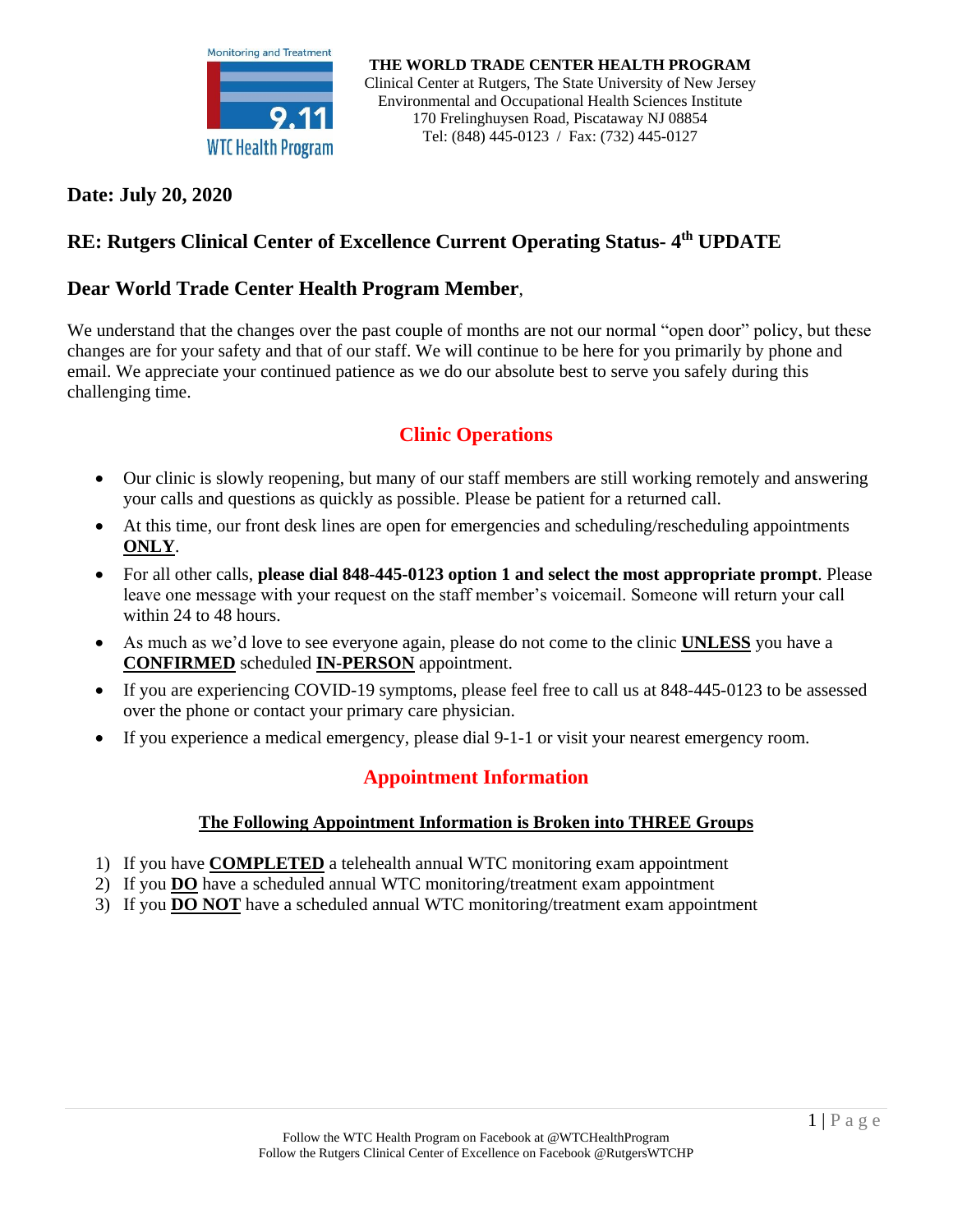

### **Date: July 20, 2020**

## **RE: Rutgers Clinical Center of Excellence Current Operating Status- 4 th UPDATE**

### **Dear World Trade Center Health Program Member**,

We understand that the changes over the past couple of months are not our normal "open door" policy, but these changes are for your safety and that of our staff. We will continue to be here for you primarily by phone and email. We appreciate your continued patience as we do our absolute best to serve you safely during this challenging time.

# **Clinic Operations**

- Our clinic is slowly reopening, but many of our staff members are still working remotely and answering your calls and questions as quickly as possible. Please be patient for a returned call.
- At this time, our front desk lines are open for emergencies and scheduling/rescheduling appointments **ONLY**.
- For all other calls, **please dial 848-445-0123 option 1 and select the most appropriate prompt**. Please leave one message with your request on the staff member's voicemail. Someone will return your call within 24 to 48 hours.
- As much as we'd love to see everyone again, please do not come to the clinic **UNLESS** you have a **CONFIRMED** scheduled **IN-PERSON** appointment.
- If you are experiencing COVID-19 symptoms, please feel free to call us at 848-445-0123 to be assessed over the phone or contact your primary care physician.
- If you experience a medical emergency, please dial 9-1-1 or visit your nearest emergency room.

### **Appointment Information**

#### **The Following Appointment Information is Broken into THREE Groups**

- 1) If you have **COMPLETED** a telehealth annual WTC monitoring exam appointment
- 2) If you **DO** have a scheduled annual WTC monitoring/treatment exam appointment
- 3) If you **DO NOT** have a scheduled annual WTC monitoring/treatment exam appointment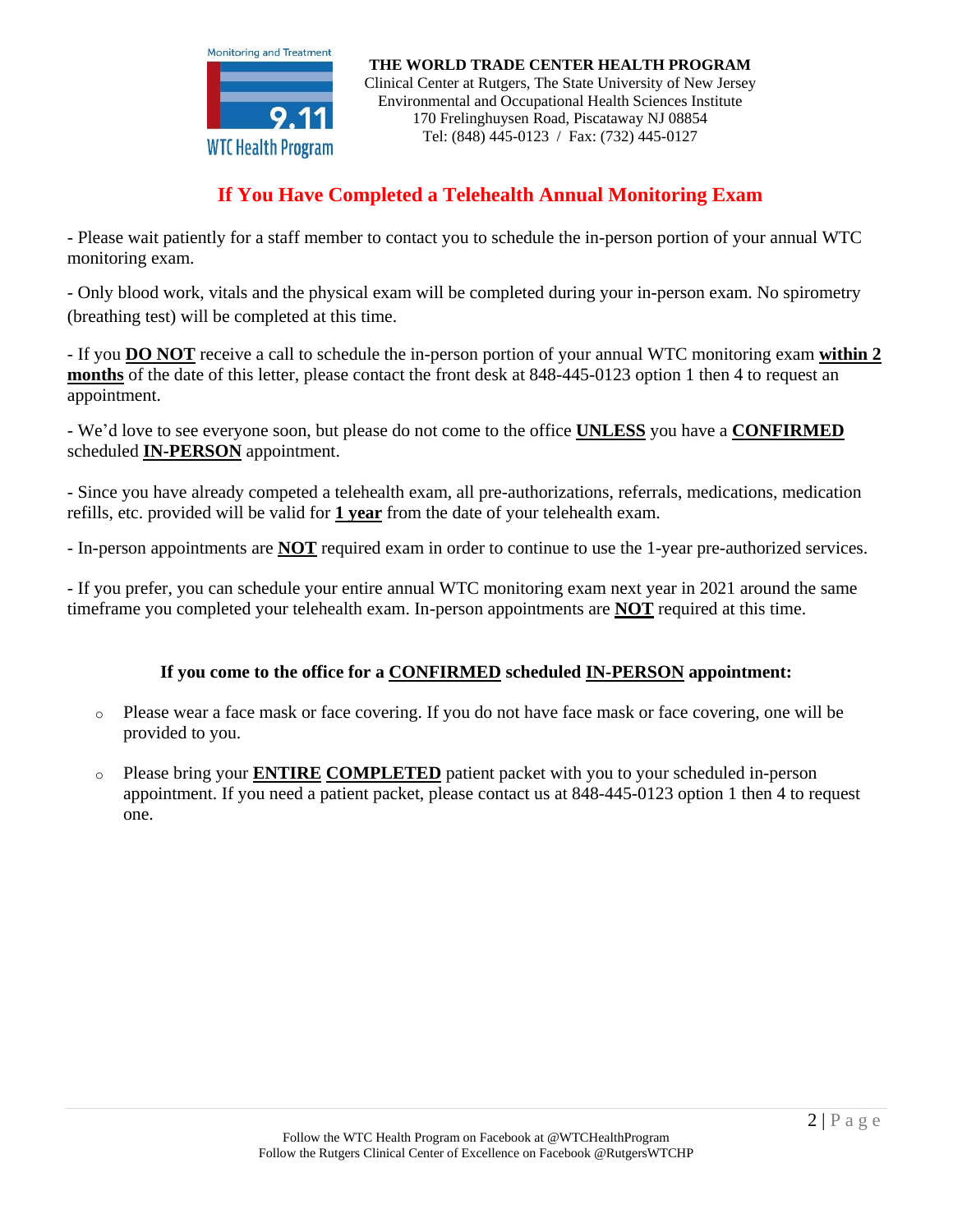

# **If You Have Completed a Telehealth Annual Monitoring Exam**

- Please wait patiently for a staff member to contact you to schedule the in-person portion of your annual WTC monitoring exam.

- Only blood work, vitals and the physical exam will be completed during your in-person exam. No spirometry (breathing test) will be completed at this time.

- If you **DO NOT** receive a call to schedule the in-person portion of your annual WTC monitoring exam **within 2 months** of the date of this letter, please contact the front desk at 848-445-0123 option 1 then 4 to request an appointment.

- We'd love to see everyone soon, but please do not come to the office **UNLESS** you have a **CONFIRMED** scheduled **IN-PERSON** appointment.

- Since you have already competed a telehealth exam, all pre-authorizations, referrals, medications, medication refills, etc. provided will be valid for **1 year** from the date of your telehealth exam.

- In-person appointments are **NOT** required exam in order to continue to use the 1-year pre-authorized services.

- If you prefer, you can schedule your entire annual WTC monitoring exam next year in 2021 around the same timeframe you completed your telehealth exam. In-person appointments are **NOT** required at this time.

### **If you come to the office for a CONFIRMED scheduled IN-PERSON appointment:**

- o Please wear a face mask or face covering. If you do not have face mask or face covering, one will be provided to you.
- o Please bring your **ENTIRE COMPLETED** patient packet with you to your scheduled in-person appointment. If you need a patient packet, please contact us at 848-445-0123 option 1 then 4 to request one.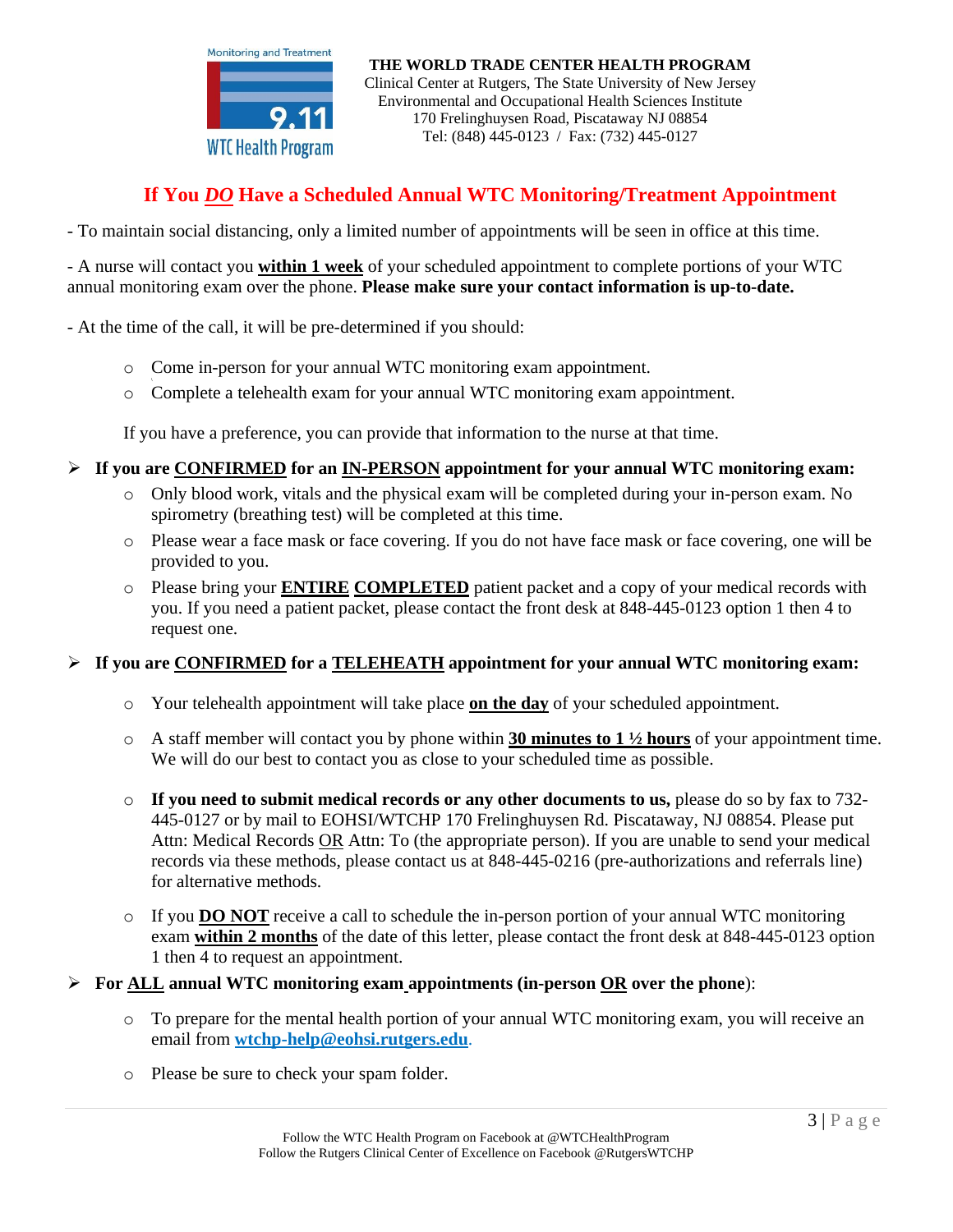

# **If You** *DO* **Have a Scheduled Annual WTC Monitoring/Treatment Appointment**

- To maintain social distancing, only a limited number of appointments will be seen in office at this time.

- A nurse will contact you **within 1 week** of your scheduled appointment to complete portions of your WTC annual monitoring exam over the phone. **Please make sure your contact information is up-to-date.**

- At the time of the call, it will be pre-determined if you should:

- o Come in-person for your annual WTC monitoring exam appointment.
- o Complete a telehealth exam for your annual WTC monitoring exam appointment.

If you have a preference, you can provide that information to the nurse at that time.

- **If you are CONFIRMED for an IN-PERSON appointment for your annual WTC monitoring exam:**
	- o Only blood work, vitals and the physical exam will be completed during your in-person exam. No spirometry (breathing test) will be completed at this time.
	- o Please wear a face mask or face covering. If you do not have face mask or face covering, one will be provided to you.
	- o Please bring your **ENTIRE COMPLETED** patient packet and a copy of your medical records with you. If you need a patient packet, please contact the front desk at 848-445-0123 option 1 then 4 to request one.

#### **If you are CONFIRMED for a TELEHEATH appointment for your annual WTC monitoring exam:**

- o Your telehealth appointment will take place **on the day** of your scheduled appointment.
- o A staff member will contact you by phone within **30 minutes to 1 ½ hours** of your appointment time. We will do our best to contact you as close to your scheduled time as possible.
- o **If you need to submit medical records or any other documents to us,** please do so by fax to 732- 445-0127 or by mail to EOHSI/WTCHP 170 Frelinghuysen Rd. Piscataway, NJ 08854. Please put Attn: Medical Records OR Attn: To (the appropriate person). If you are unable to send your medical records via these methods, please contact us at 848-445-0216 (pre-authorizations and referrals line) for alternative methods.
- o If you **DO NOT** receive a call to schedule the in-person portion of your annual WTC monitoring exam **within 2 months** of the date of this letter, please contact the front desk at 848-445-0123 option 1 then 4 to request an appointment.

#### **For ALL annual WTC monitoring exam appointments (in-person OR over the phone**):

- o To prepare for the mental health portion of your annual WTC monitoring exam, you will receive an email from **[wtchp-help@eohsi.rutgers.edu](mailto:wtchp-help@eohsi.rutgers.edu)**.
- o Please be sure to check your spam folder.